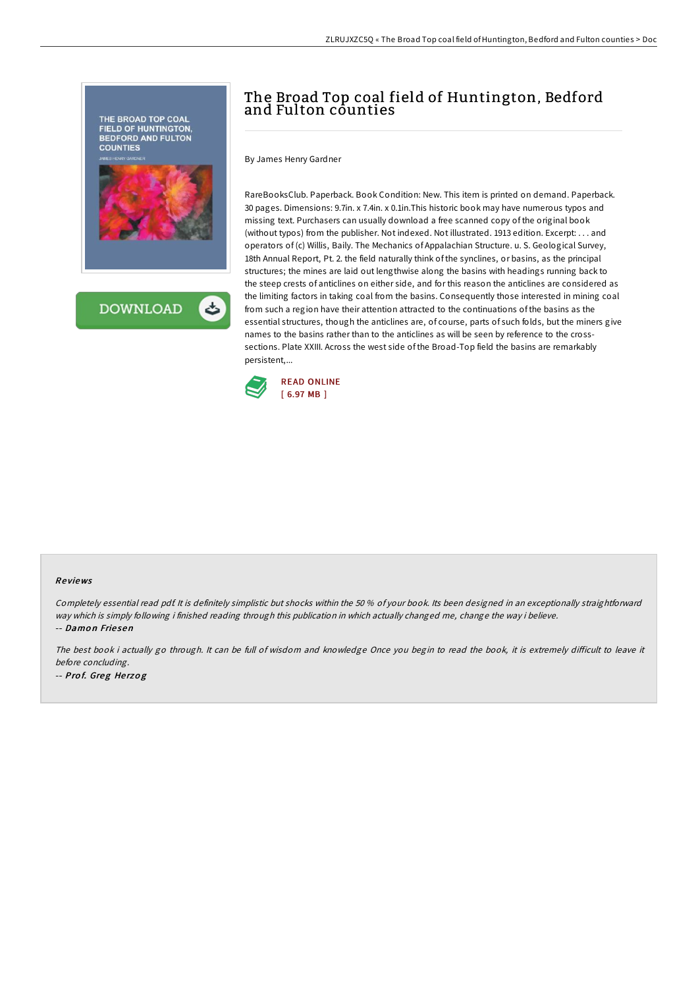



# The Broad Top coal field of Huntington, Bedford and Fulton counties

By James Henry Gardner

RareBooksClub. Paperback. Book Condition: New. This item is printed on demand. Paperback. 30 pages. Dimensions: 9.7in. x 7.4in. x 0.1in.This historic book may have numerous typos and missing text. Purchasers can usually download a free scanned copy of the original book (without typos) from the publisher. Not indexed. Not illustrated. 1913 edition. Excerpt: . . . and operators of (c) Willis, Baily. The Mechanics of Appalachian Structure. u. S. Geological Survey, 18th Annual Report, Pt. 2. the field naturally think of the synclines, or basins, as the principal structures; the mines are laid out lengthwise along the basins with headings running back to the steep crests of anticlines on either side, and for this reason the anticlines are considered as the limiting factors in taking coal from the basins. Consequently those interested in mining coal from such a region have their attention attracted to the continuations of the basins as the essential structures, though the anticlines are, of course, parts of such folds, but the miners give names to the basins rather than to the anticlines as will be seen by reference to the crosssections. Plate XXIII. Across the west side of the Broad-Top field the basins are remarkably persistent,...



#### Re views

Completely essential read pdf. It is definitely simplistic but shocks within the 50 % of your book. Its been designed in an exceptionally straightforward way which is simply following i finished reading through this publication in which actually changed me, change the way i believe. -- Damon Friesen

The best book i actually go through. It can be full of wisdom and knowledge Once you begin to read the book, it is extremely difficult to leave it before concluding. -- Pro f. Greg He rzo g